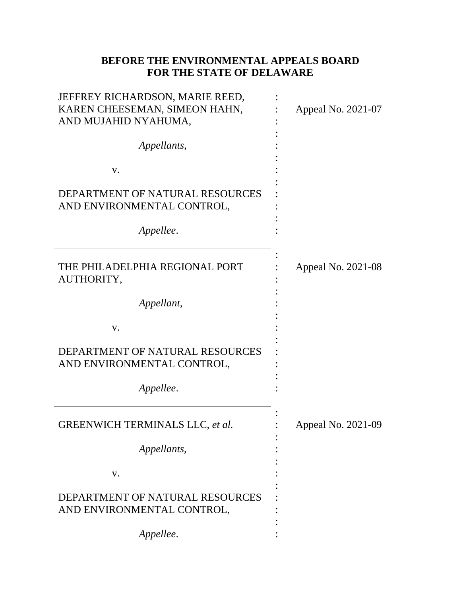## **BEFORE THE ENVIRONMENTAL APPEALS BOARD FOR THE STATE OF DELAWARE**

| JEFFREY RICHARDSON, MARIE REED,<br>KAREN CHEESEMAN, SIMEON HAHN,<br>AND MUJAHID NYAHUMA, | Appeal No. 2021-07 |
|------------------------------------------------------------------------------------------|--------------------|
| Appellants,                                                                              |                    |
| V.                                                                                       |                    |
| DEPARTMENT OF NATURAL RESOURCES<br>AND ENVIRONMENTAL CONTROL,                            |                    |
| Appellee.                                                                                |                    |
| THE PHILADELPHIA REGIONAL PORT<br>AUTHORITY,                                             | Appeal No. 2021-08 |
| Appellant,                                                                               |                    |
| V.                                                                                       |                    |
| DEPARTMENT OF NATURAL RESOURCES<br>AND ENVIRONMENTAL CONTROL,                            |                    |
| Appellee.                                                                                |                    |
| <b>GREENWICH TERMINALS LLC, et al.</b>                                                   | Appeal No. 2021-09 |
| Appellants,                                                                              |                    |
| V.                                                                                       |                    |
| DEPARTMENT OF NATURAL RESOURCES<br>AND ENVIRONMENTAL CONTROL,                            |                    |
| Appellee.                                                                                |                    |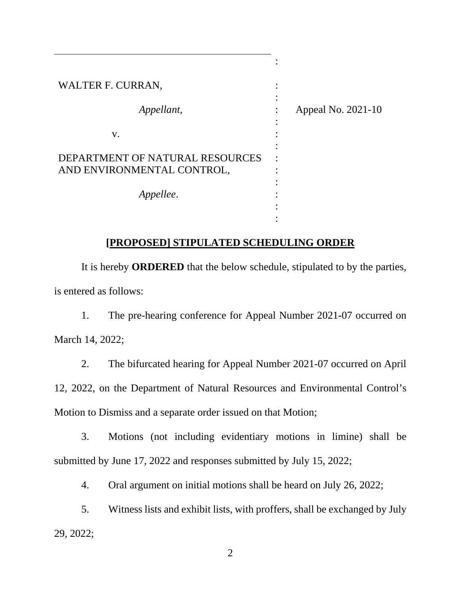| WALTER F. CURRAN,                                             |                    |
|---------------------------------------------------------------|--------------------|
| Appellant,                                                    | Appeal No. 2021-10 |
| V.                                                            |                    |
| DEPARTMENT OF NATURAL RESOURCES<br>AND ENVIRONMENTAL CONTROL, |                    |
| Appellee.                                                     |                    |
|                                                               |                    |

## **[PROPOSED] STIPULATED SCHEDULING ORDER**

It is hereby **ORDERED** that the below schedule, stipulated to by the parties, is entered as follows:

1. The pre-hearing conference for Appeal Number 2021-07 occurred on March 14, 2022;

2. The bifurcated hearing for Appeal Number 2021-07 occurred on April 12, 2022, on the Department of Natural Resources and Environmental Control's Motion to Dismiss and a separate order issued on that Motion;

3. Motions (not including evidentiary motions in limine) shall be submitted by June 17, 2022 and responses submitted by July 15, 2022;

4. Oral argument on initial motions shall be heard on July 26, 2022;

5. Witness lists and exhibit lists, with proffers, shall be exchanged by July 29, 2022;

2